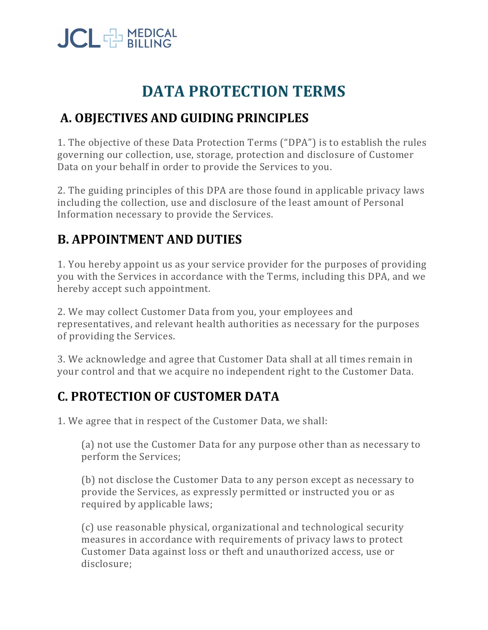

# **DATA PROTECTION TERMS**

## **A. OBJECTIVES AND GUIDING PRINCIPLES**

1. The objective of these Data Protection Terms ("DPA") is to establish the rules governing our collection, use, storage, protection and disclosure of Customer Data on your behalf in order to provide the Services to you.

2. The guiding principles of this DPA are those found in applicable privacy laws including the collection, use and disclosure of the least amount of Personal Information necessary to provide the Services.

# **B. APPOINTMENT AND DUTIES**

1. You hereby appoint us as your service provider for the purposes of providing you with the Services in accordance with the Terms, including this DPA, and we hereby accept such appointment.

2. We may collect Customer Data from you, your employees and representatives, and relevant health authorities as necessary for the purposes of providing the Services.

3. We acknowledge and agree that Customer Data shall at all times remain in your control and that we acquire no independent right to the Customer Data.

# **C. PROTECTION OF CUSTOMER DATA**

1. We agree that in respect of the Customer Data, we shall:

(a) not use the Customer Data for any purpose other than as necessary to perform the Services;

(b) not disclose the Customer Data to any person except as necessary to provide the Services, as expressly permitted or instructed you or as required by applicable laws;

(c) use reasonable physical, organizational and technological security measures in accordance with requirements of privacy laws to protect Customer Data against loss or theft and unauthorized access, use or disclosure;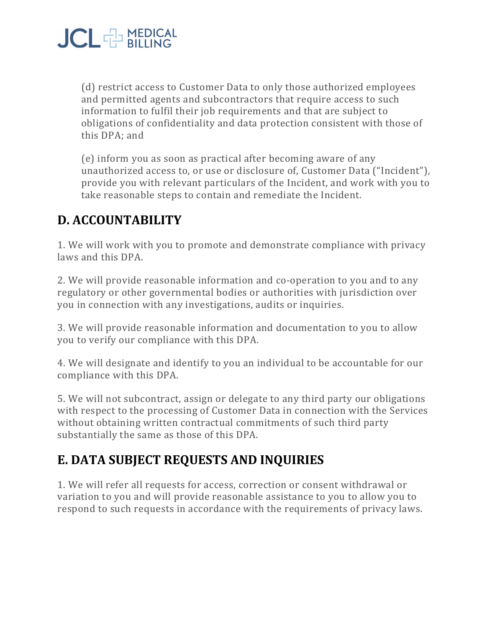

(d) restrict access to Customer Data to only those authorized employees and permitted agents and subcontractors that require access to such information to fulfil their job requirements and that are subject to obligations of confidentiality and data protection consistent with those of this DPA; and

(e) inform you as soon as practical after becoming aware of any unauthorized access to, or use or disclosure of, Customer Data ("Incident"), provide you with relevant particulars of the Incident, and work with you to take reasonable steps to contain and remediate the Incident.

# **D. ACCOUNTABILITY**

1. We will work with you to promote and demonstrate compliance with privacy laws and this DPA.

2. We will provide reasonable information and co-operation to you and to any regulatory or other governmental bodies or authorities with jurisdiction over you in connection with any investigations, audits or inquiries.

3. We will provide reasonable information and documentation to you to allow you to verify our compliance with this DPA.

4. We will designate and identify to you an individual to be accountable for our compliance with this DPA.

5. We will not subcontract, assign or delegate to any third party our obligations with respect to the processing of Customer Data in connection with the Services without obtaining written contractual commitments of such third party substantially the same as those of this DPA.

# **E. DATA SUBJECT REQUESTS AND INQUIRIES**

1. We will refer all requests for access, correction or consent withdrawal or variation to you and will provide reasonable assistance to you to allow you to respond to such requests in accordance with the requirements of privacy laws.